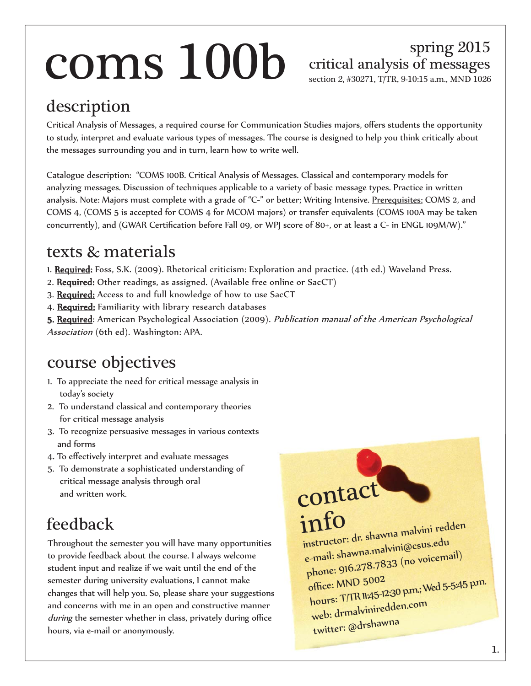# $\text{cons}$  100b critical analysis of messages

### spring 2015

section 2, #30271, T/TR, 9-10:15 a.m., MND 1026

### description

Critical Analysis of Messages, a required course for Communication Studies majors, offers students the opportunity to study, interpret and evaluate various types of messages. The course is designed to help you think critically about the messages surrounding you and in turn, learn how to write well.

Catalogue description: "COMS 100B. Critical Analysis of Messages. Classical and contemporary models for analyzing messages. Discussion of techniques applicable to a variety of basic message types. Practice in written analysis. Note: Majors must complete with a grade of "C-" or better; Writing Intensive. Prerequisites: COMS 2, and COMS 4, (COMS 5 is accepted for COMS 4 for MCOM majors) or transfer equivalents (COMS 100A may be taken concurrently), and (GWAR Certification before Fall 09, or WPJ score of 80+, or at least a C- in ENGL 109M/W)."

#### texts & materials

- 1. Required: Foss, S.K. (2009). Rhetorical criticism: Exploration and practice. (4th ed.) Waveland Press.
- 2. Required: Other readings, as assigned. (Available free online or SacCT)
- 3. Required: Access to and full knowledge of how to use SacCT
- 4. Required: Familiarity with library research databases

5. Required: American Psychological Association (2009). Publication manual of the American Psychological Association (6th ed). Washington: APA.

#### course objectives

- 1. To appreciate the need for critical message analysis in today's society
- 2. To understand classical and contemporary theories for critical message analysis
- 3. To recognize persuasive messages in various contexts and forms
- 4. To effectively interpret and evaluate messages
- 5. To demonstrate a sophisticated understanding of critical message analysis through oral and written work.

### feedback

Throughout the semester you will have many opportunities to provide feedback about the course. I always welcome student input and realize if we wait until the end of the semester during university evaluations, I cannot make changes that will help you. So, please share your suggestions and concerns with me in an open and constructive manner during the semester whether in class, privately during office hours, via e-mail or anonymously.

contact info instructor: dr. shawna malvini redden e-mail: shawna.malvini@csus.edu phone: 916.278.7833 (no voicemail) office: MND 5002 hours: T/TR 11:45-12:30 p.m.; Wed 5-5:45 p.m. web: drmalviniredden.com twitter: @drshawna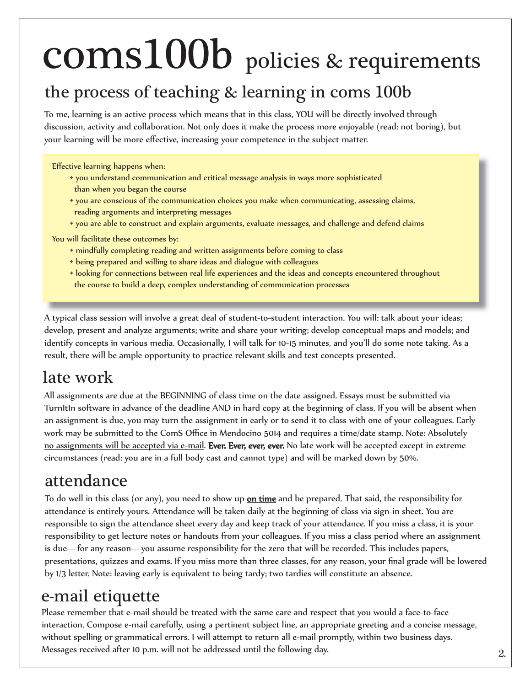# coms100b policies & requirements

#### the process of teaching & learning in coms 100b

To me, learning is an active process which means that in this class, YOU will be directly involved through discussion, activity and collaboration. Not only does it make the process more enjoyable (read: not boring), but your learning will be more effective, increasing your competence in the subject matter.

Effective learning happens when:

- you understand communication and critical message analysis in ways more sophisticated than when you began the course
- you are conscious of the communication choices you make when communicating, assessing claims, reading arguments and interpreting messages
- you are able to construct and explain arguments, evaluate messages, and challenge and defend claims

You will facilitate these outcomes by:

- \* mindfully completing reading and written assignments before coming to class
- being prepared and willing to share ideas and dialogue with colleagues
- looking for connections between real life experiences and the ideas and concepts encountered throughout the course to build a deep, complex understanding of communication processes

A typical class session will involve a great deal of student-to-student interaction. You will: talk about your ideas; develop, present and analyze arguments; write and share your writing; develop conceptual maps and models; and identify concepts in various media. Occasionally, I will talk for 10-15 minutes, and you'll do some note taking. As a result, there will be ample opportunity to practice relevant skills and test concepts presented.

#### late work

All assignments are due at the BEGINNING of class time on the date assigned. Essays must be submitted via TurnItIn software in advance of the deadline AND in hard copy at the beginning of class. If you will be absent when an assignment is due, you may turn the assignment in early or to send it to class with one of your colleagues. Early work may be submitted to the ComS Office in Mendocino 5014 and requires a time/date stamp. Note: Absolutely no assignments will be accepted via e-mail. Ever. Ever, ever, ever. No late work will be accepted except in extreme circumstances (read: you are in a full body cast and cannot type) and will be marked down by 50%.

#### attendance

To do well in this class (or any), you need to show up <u>on time</u> and be prepared. That said, the responsibility for attendance is entirely yours. Attendance will be taken daily at the beginning of class via sign-in sheet. You are responsible to sign the attendance sheet every day and keep track of your attendance. If you miss a class, it is your responsibility to get lecture notes or handouts from your colleagues. If you miss a class period where an assignment is due—for any reason—you assume responsibility for the zero that will be recorded. This includes papers, presentations, quizzes and exams. If you miss more than three classes, for any reason, your final grade will be lowered by 1/3 letter. Note: leaving early is equivalent to being tardy; two tardies will constitute an absence.

#### e-mail etiquette

Please remember that e-mail should be treated with the same care and respect that you would a face-to-face interaction. Compose e-mail carefully, using a pertinent subject line, an appropriate greeting and a concise message, without spelling or grammatical errors. I will attempt to return all e-mail promptly, within two business days. Messages received after 10 p.m. will not be addressed until the following day.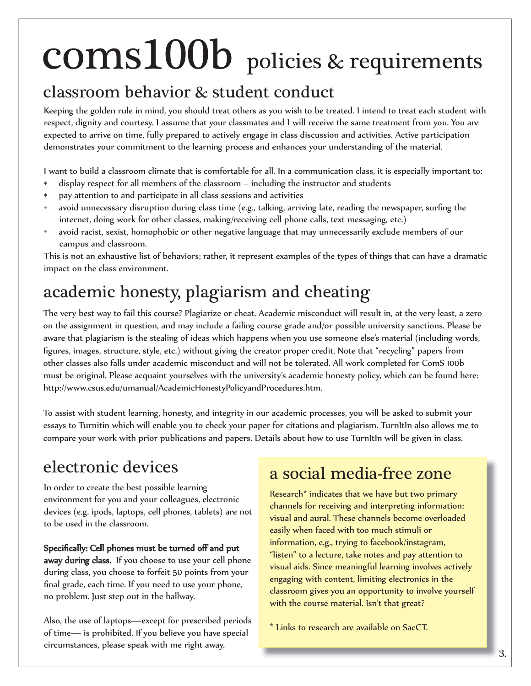# policies & requirements coms100b

#### classroom behavior & student conduct

Keeping the golden rule in mind, you should treat others as you wish to be treated. I intend to treat each student with respect, dignity and courtesy. I assume that your classmates and I will receive the same treatment from you. You are expected to arrive on time, fully prepared to actively engage in class discussion and activities. Active participation demonstrates your commitment to the learning process and enhances your understanding of the material.

I want to build a classroom climate that is comfortable for all. In a communication class, it is especially important to:

- display respect for all members of the classroom including the instructor and students
- pay attention to and participate in all class sessions and activities
- avoid unnecessary disruption during class time (e.g., talking, arriving late, reading the newspaper, surfing the internet, doing work for other classes, making/receiving cell phone calls, text messaging, etc.)
- avoid racist, sexist, homophobic or other negative language that may unnecessarily exclude members of our campus and classroom.

This is not an exhaustive list of behaviors; rather, it represent examples of the types of things that can have a dramatic impact on the class environment.

#### academic honesty, plagiarism and cheating

The very best way to fail this course? Plagiarize or cheat. Academic misconduct will result in, at the very least, a zero on the assignment in question, and may include a failing course grade and/or possible university sanctions. Please be aware that plagiarism is the stealing of ideas which happens when you use someone else's material (including words, figures, images, structure, style, etc.) without giving the creator proper credit. Note that "recycling" papers from other classes also falls under academic misconduct and will not be tolerated. All work completed for ComS 100b must be original. Please acquaint yourselves with the university's academic honesty policy, which can be found here: http://www.csus.edu/umanual/AcademicHonestyPolicyandProcedures.htm.

To assist with student learning, honesty, and integrity in our academic processes, you will be asked to submit your essays to Turnitin which will enable you to check your paper for citations and plagiarism. TurnItIn also allows me to compare your work with prior publications and papers. Details about how to use TurnItIn will be given in class.

### electronic devices

In order to create the best possible learning environment for you and your colleagues, electronic devices (e.g. ipods, laptops, cell phones, tablets) are not to be used in the classroom.

Specifically: Cell phones must be turned off and put away during class. If you choose to use your cell phone during class, you choose to forfeit 50 points from your final grade, each time. If you need to use your phone, no problem. Just step out in the hallway.

Also, the use of laptops—except for prescribed periods of time— is prohibited. If you believe you have special circumstances, please speak with me right away.

#### a social media-free zone

Research\* indicates that we have but two primary channels for receiving and interpreting information: visual and aural. These channels become overloaded easily when faced with too much stimuli or information, e.g., trying to facebook/instagram, "listen" to a lecture, take notes and pay attention to visual aids. Since meaningful learning involves actively engaging with content, limiting electronics in the classroom gives you an opportunity to involve yourself with the course material. Isn't that great?

\* Links to research are available on SacCT.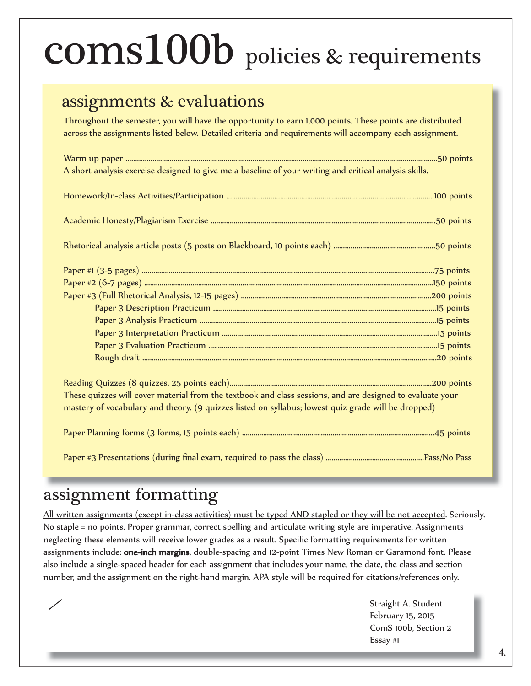## coms100b policies & requirements

#### assignments & evaluations

Throughout the semester, you will have the opportunity to earn 1,000 points. These points are distributed across the assignments listed below. Detailed criteria and requirements will accompany each assignment.

| A short analysis exercise designed to give me a baseline of your writing and critical analysis skills.    |  |  |  |  |
|-----------------------------------------------------------------------------------------------------------|--|--|--|--|
|                                                                                                           |  |  |  |  |
|                                                                                                           |  |  |  |  |
|                                                                                                           |  |  |  |  |
|                                                                                                           |  |  |  |  |
|                                                                                                           |  |  |  |  |
|                                                                                                           |  |  |  |  |
|                                                                                                           |  |  |  |  |
|                                                                                                           |  |  |  |  |
|                                                                                                           |  |  |  |  |
|                                                                                                           |  |  |  |  |
|                                                                                                           |  |  |  |  |
|                                                                                                           |  |  |  |  |
| These quizzes will cover material from the textbook and class sessions, and are designed to evaluate your |  |  |  |  |
| mastery of vocabulary and theory. (9 quizzes listed on syllabus; lowest quiz grade will be dropped)       |  |  |  |  |
|                                                                                                           |  |  |  |  |
|                                                                                                           |  |  |  |  |

#### assignment formatting

 $\overline{a}$ 

All written assignments (except in-class activities) must be typed AND stapled or they will be not accepted. Seriously. No staple = no points. Proper grammar, correct spelling and articulate writing style are imperative. Assignments neglecting these elements will receive lower grades as a result. Specific formatting requirements for written assignments include: **one-inch margins**, double-spacing and 12-point Times New Roman or Garamond font. Please also include a single-spaced header for each assignment that includes your name, the date, the class and section number, and the assignment on the right-hand margin. APA style will be required for citations/references only.

> Straight A. Student February 15, 2015 ComS 100b, Section 2 Essay #1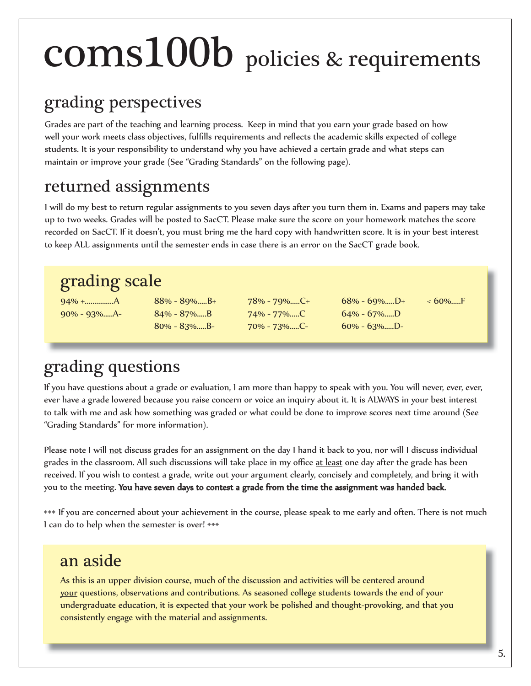## coms100b policies & requirements

### grading perspectives

Grades are part of the teaching and learning process. Keep in mind that you earn your grade based on how well your work meets class objectives, fulfills requirements and reflects the academic skills expected of college students. It is your responsibility to understand why you have achieved a certain grade and what steps can maintain or improve your grade (See "Grading Standards" on the following page).

#### returned assignments

I will do my best to return regular assignments to you seven days after you turn them in. Exams and papers may take up to two weeks. Grades will be posted to SacCT. Please make sure the score on your homework matches the score recorded on SacCT. If it doesn't, you must bring me the hard copy with handwritten score. It is in your best interest to keep ALL assignments until the semester ends in case there is an error on the SacCT grade book.

#### grading scale

94% +...............A 88% - 89%.....B+ 78% - 79%.....C+ 68% - 69%.....D+ < 60%.....F 90% - 93%.....A- 84% - 87%.....B 74% - 77%.....C 64% - 67%.....D

80% - 83%.....B- 70% - 73%.....C- 60% - 63%.....D-

### grading questions

If you have questions about a grade or evaluation, I am more than happy to speak with you. You will never, ever, ever, ever have a grade lowered because you raise concern or voice an inquiry about it. It is ALWAYS in your best interest to talk with me and ask how something was graded or what could be done to improve scores next time around (See "Grading Standards" for more information).

Please note I will not discuss grades for an assignment on the day I hand it back to you, nor will I discuss individual grades in the classroom. All such discussions will take place in my office at least one day after the grade has been received. If you wish to contest a grade, write out your argument clearly, concisely and completely, and bring it with you to the meeting. You have seven days to contest a grade from the time the assignment was handed back.

••• If you are concerned about your achievement in the course, please speak to me early and often. There is not much I can do to help when the semester is over! •••

#### an aside

As this is an upper division course, much of the discussion and activities will be centered around your questions, observations and contributions. As seasoned college students towards the end of your undergraduate education, it is expected that your work be polished and thought-provoking, and that you consistently engage with the material and assignments.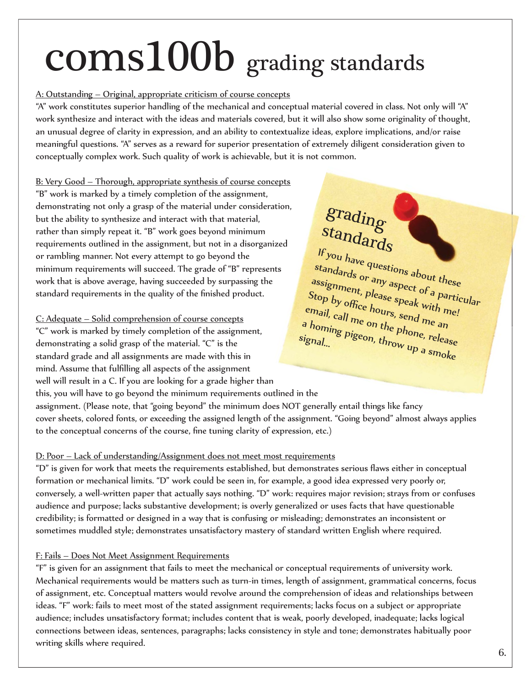## coms100b grading standards

#### A: Outstanding – Original, appropriate criticism of course concepts

"A" work constitutes superior handling of the mechanical and conceptual material covered in class. Not only will "A" work synthesize and interact with the ideas and materials covered, but it will also show some originality of thought, an unusual degree of clarity in expression, and an ability to contextualize ideas, explore implications, and/or raise meaningful questions. "A" serves as a reward for superior presentation of extremely diligent consideration given to conceptually complex work. Such quality of work is achievable, but it is not common.

B: Very Good – Thorough, appropriate synthesis of course concepts "B" work is marked by a timely completion of the assignment, demonstrating not only a grasp of the material under consideration, but the ability to synthesize and interact with that material, rather than simply repeat it. "B" work goes beyond minimum requirements outlined in the assignment, but not in a disorganized or rambling manner. Not every attempt to go beyond the minimum requirements will succeed. The grade of "B" represents work that is above average, having succeeded by surpassing the standard requirements in the quality of the finished product.

#### C: Adequate – Solid comprehension of course concepts

"C" work is marked by timely completion of the assignment, demonstrating a solid grasp of the material. "C" is the standard grade and all assignments are made with this in mind. Assume that fulfilling all aspects of the assignment well will result in a C. If you are looking for a grade higher than

### grading standards

If you have questions about these standards or any aspect of a particular assignment, please speak with me! Stop by office hours, send me an email, call me on the phone, release<br>a homing pigeon, throw up a signal a homing pigeon, the phone, release<br>ignal...<br>ignal... signal...

this, you will have to go beyond the minimum requirements outlined in the assignment. (Please note, that "going beyond" the minimum does NOT generally entail things like fancy cover sheets, colored fonts, or exceeding the assigned length of the assignment. "Going beyond" almost always applies to the conceptual concerns of the course, fine tuning clarity of expression, etc.)

#### D: Poor – Lack of understanding/Assignment does not meet most requirements

"D" is given for work that meets the requirements established, but demonstrates serious flaws either in conceptual formation or mechanical limits. "D" work could be seen in, for example, a good idea expressed very poorly or, conversely, a well-written paper that actually says nothing. "D" work: requires major revision; strays from or confuses audience and purpose; lacks substantive development; is overly generalized or uses facts that have questionable credibility; is formatted or designed in a way that is confusing or misleading; demonstrates an inconsistent or sometimes muddled style; demonstrates unsatisfactory mastery of standard written English where required.

#### F: Fails – Does Not Meet Assignment Requirements

"F" is given for an assignment that fails to meet the mechanical or conceptual requirements of university work. Mechanical requirements would be matters such as turn-in times, length of assignment, grammatical concerns, focus of assignment, etc. Conceptual matters would revolve around the comprehension of ideas and relationships between ideas. "F" work: fails to meet most of the stated assignment requirements; lacks focus on a subject or appropriate audience; includes unsatisfactory format; includes content that is weak, poorly developed, inadequate; lacks logical connections between ideas, sentences, paragraphs; lacks consistency in style and tone; demonstrates habitually poor writing skills where required.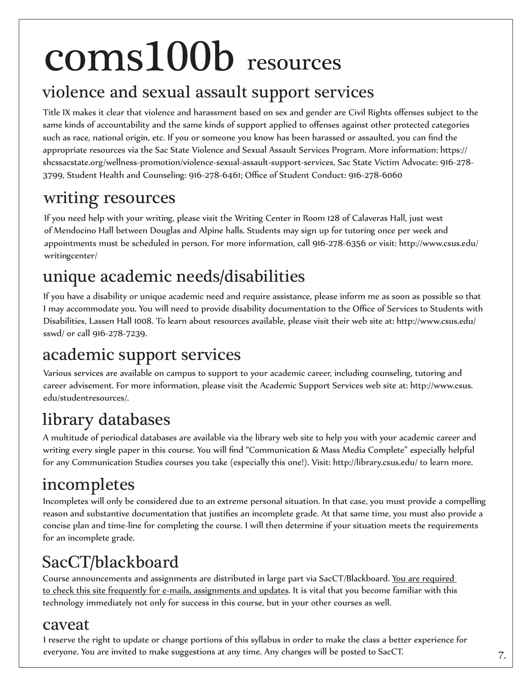## coms100b resources

#### violence and sexual assault support services

Title IX makes it clear that violence and harassment based on sex and gender are Civil Rights offenses subject to the same kinds of accountability and the same kinds of support applied to offenses against other protected categories such as race, national origin, etc. If you or someone you know has been harassed or assaulted, you can find the appropriate resources via the Sac State Violence and Sexual Assault Services Program. More information: https:// shcssacstate.org/wellness-promotion/violence-sexual-assault-support-services, Sac State Victim Advocate: 916-278- 3799, Student Health and Counseling: 916-278-6461; Office of Student Conduct: 916-278-6060

#### writing resources

If you need help with your writing, please visit the Writing Center in Room 128 of Calaveras Hall, just west of Mendocino Hall between Douglas and Alpine halls. Students may sign up for tutoring once per week and appointments must be scheduled in person. For more information, call 916-278-6356 or visit: http://www.csus.edu/ writingcenter/

#### unique academic needs/disabilities

If you have a disability or unique academic need and require assistance, please inform me as soon as possible so that I may accommodate you. You will need to provide disability documentation to the Office of Services to Students with Disabilities, Lassen Hall 1008. To learn about resources available, please visit their web site at: http://www.csus.edu/ sswd/ or call 916-278-7239.

#### academic support services

Various services are available on campus to support to your academic career, including counseling, tutoring and career advisement. For more information, please visit the Academic Support Services web site at: http://www.csus. edu/studentresources/.

### library databases

A multitude of periodical databases are available via the library web site to help you with your academic career and writing every single paper in this course. You will find "Communication & Mass Media Complete" especially helpful for any Communication Studies courses you take (especially this one!). Visit: http://library.csus.edu/ to learn more.

#### incompletes

Incompletes will only be considered due to an extreme personal situation. In that case, you must provide a compelling reason and substantive documentation that justifies an incomplete grade. At that same time, you must also provide a concise plan and time-line for completing the course. I will then determine if your situation meets the requirements for an incomplete grade.

### SacCT/blackboard

Course announcements and assignments are distributed in large part via SacCT/Blackboard. You are required to check this site frequently for e-mails, assignments and updates. It is vital that you become familiar with this technology immediately not only for success in this course, but in your other courses as well.

#### caveat

I reserve the right to update or change portions of this syllabus in order to make the class a better experience for everyone. You are invited to make suggestions at any time. Any changes will be posted to SacCT.